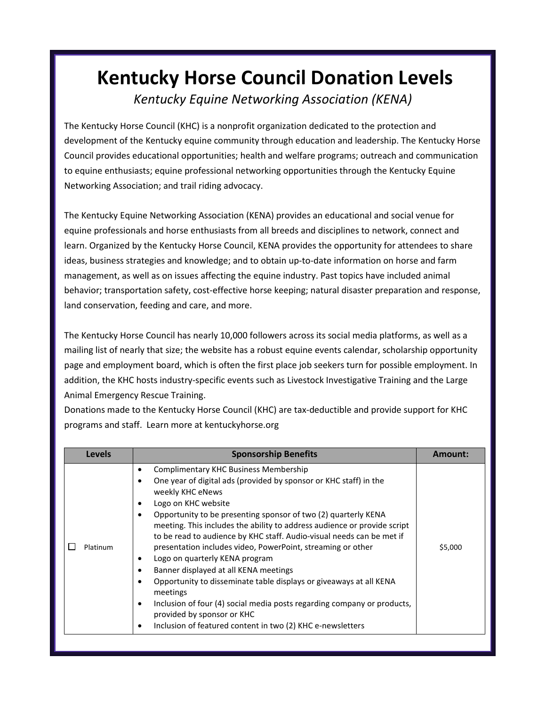## **Kentucky Horse Council Donation Levels** *Kentucky Equine Networking Association (KENA)*

The Kentucky Horse Council (KHC) is a nonprofit organization dedicated to the protection and development of the Kentucky equine community through education and leadership. The Kentucky Horse Council provides educational opportunities; health and welfare programs; outreach and communication to equine enthusiasts; equine professional networking opportunities through the Kentucky Equine Networking Association; and trail riding advocacy.

The Kentucky Equine Networking Association (KENA) provides an educational and social venue for equine professionals and horse enthusiasts from all breeds and disciplines to network, connect and learn. Organized by the Kentucky Horse Council, KENA provides the opportunity for attendees to share ideas, business strategies and knowledge; and to obtain up-to-date information on horse and farm management, as well as on issues affecting the equine industry. Past topics have included animal behavior; transportation safety, cost-effective horse keeping; natural disaster preparation and response, land conservation, feeding and care, and more.

The Kentucky Horse Council has nearly 10,000 followers across its social media platforms, as well as a mailing list of nearly that size; the website has a robust equine events calendar, scholarship opportunity page and employment board, which is often the first place job seekers turn for possible employment. In addition, the KHC hosts industry-specific events such as Livestock Investigative Training and the Large Animal Emergency Rescue Training.

Donations made to the Kentucky Horse Council (KHC) are tax-deductible and provide support for KHC programs and staff. Learn more at kentuckyhorse.org

| Levels   | <b>Sponsorship Benefits</b>                                                                                                                                                                                                                                                                                                                                                                                                                                                                                                                                                                                                                                                                                                                                                                    | Amount: |
|----------|------------------------------------------------------------------------------------------------------------------------------------------------------------------------------------------------------------------------------------------------------------------------------------------------------------------------------------------------------------------------------------------------------------------------------------------------------------------------------------------------------------------------------------------------------------------------------------------------------------------------------------------------------------------------------------------------------------------------------------------------------------------------------------------------|---------|
| Platinum | Complimentary KHC Business Membership<br>٠<br>One year of digital ads (provided by sponsor or KHC staff) in the<br>weekly KHC eNews<br>Logo on KHC website<br>Opportunity to be presenting sponsor of two (2) quarterly KENA<br>meeting. This includes the ability to address audience or provide script<br>to be read to audience by KHC staff. Audio-visual needs can be met if<br>presentation includes video, PowerPoint, streaming or other<br>Logo on quarterly KENA program<br>Banner displayed at all KENA meetings<br>Opportunity to disseminate table displays or giveaways at all KENA<br>meetings<br>Inclusion of four (4) social media posts regarding company or products,<br>٠<br>provided by sponsor or KHC<br>Inclusion of featured content in two (2) KHC e-newsletters<br>٠ | \$5,000 |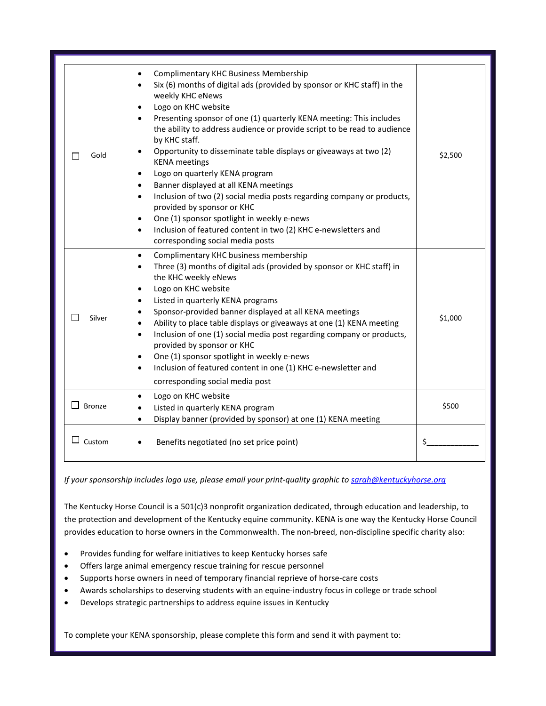| Gold<br>ΙI    | Complimentary KHC Business Membership<br>Six (6) months of digital ads (provided by sponsor or KHC staff) in the<br>$\bullet$<br>weekly KHC eNews<br>Logo on KHC website<br>$\bullet$<br>Presenting sponsor of one (1) quarterly KENA meeting: This includes<br>the ability to address audience or provide script to be read to audience<br>by KHC staff.<br>Opportunity to disseminate table displays or giveaways at two (2)<br>$\bullet$<br><b>KENA</b> meetings<br>Logo on quarterly KENA program<br>$\bullet$<br>Banner displayed at all KENA meetings<br>$\bullet$<br>Inclusion of two (2) social media posts regarding company or products,<br>$\bullet$<br>provided by sponsor or KHC<br>One (1) sponsor spotlight in weekly e-news<br>$\bullet$<br>Inclusion of featured content in two (2) KHC e-newsletters and<br>$\bullet$<br>corresponding social media posts | \$2,500 |
|---------------|-----------------------------------------------------------------------------------------------------------------------------------------------------------------------------------------------------------------------------------------------------------------------------------------------------------------------------------------------------------------------------------------------------------------------------------------------------------------------------------------------------------------------------------------------------------------------------------------------------------------------------------------------------------------------------------------------------------------------------------------------------------------------------------------------------------------------------------------------------------------------------|---------|
| Silver        | Complimentary KHC business membership<br>$\bullet$<br>Three (3) months of digital ads (provided by sponsor or KHC staff) in<br>$\bullet$<br>the KHC weekly eNews<br>Logo on KHC website<br>$\bullet$<br>Listed in quarterly KENA programs<br>$\bullet$<br>Sponsor-provided banner displayed at all KENA meetings<br>$\bullet$<br>Ability to place table displays or giveaways at one (1) KENA meeting<br>Inclusion of one (1) social media post regarding company or products,<br>$\bullet$<br>provided by sponsor or KHC<br>One (1) sponsor spotlight in weekly e-news<br>$\bullet$<br>Inclusion of featured content in one (1) KHC e-newsletter and<br>$\bullet$<br>corresponding social media post                                                                                                                                                                       | \$1,000 |
| <b>Bronze</b> | Logo on KHC website<br>$\bullet$<br>Listed in quarterly KENA program<br>$\bullet$<br>Display banner (provided by sponsor) at one (1) KENA meeting<br>$\bullet$                                                                                                                                                                                                                                                                                                                                                                                                                                                                                                                                                                                                                                                                                                              | \$500   |
| $\Box$ Custom | Benefits negotiated (no set price point)<br>$\bullet$                                                                                                                                                                                                                                                                                                                                                                                                                                                                                                                                                                                                                                                                                                                                                                                                                       | \$      |

*If your sponsorship includes logo use, please email your print-quality graphic t[o sarah@kentuckyhorse.org](mailto:sarah@kentuckyhorse.org)*

The Kentucky Horse Council is a 501(c)3 nonprofit organization dedicated, through education and leadership, to the protection and development of the Kentucky equine community. KENA is one way the Kentucky Horse Council provides education to horse owners in the Commonwealth. The non-breed, non-discipline specific charity also:

- Provides funding for welfare initiatives to keep Kentucky horses safe
- Offers large animal emergency rescue training for rescue personnel
- Supports horse owners in need of temporary financial reprieve of horse-care costs
- Awards scholarships to deserving students with an equine-industry focus in college or trade school
- Develops strategic partnerships to address equine issues in Kentucky

To complete your KENA sponsorship, please complete this form and send it with payment to: